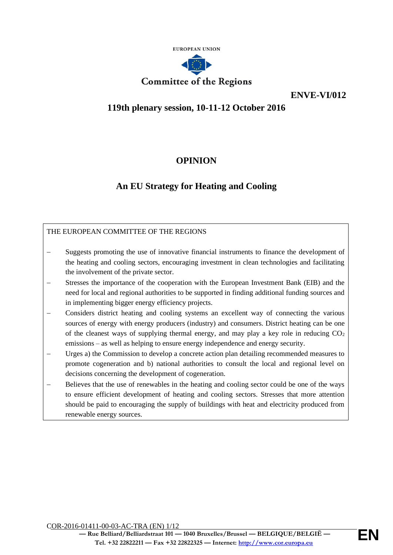

**ENVE-VI/012**

# **119th plenary session, 10-11-12 October 2016**

# **OPINION**

# **An EU Strategy for Heating and Cooling**

# THE EUROPEAN COMMITTEE OF THE REGIONS

- Suggests promoting the use of innovative financial instruments to finance the development of the heating and cooling sectors, encouraging investment in clean technologies and facilitating the involvement of the private sector.
- Stresses the importance of the cooperation with the European Investment Bank (EIB) and the need for local and regional authorities to be supported in finding additional funding sources and in implementing bigger energy efficiency projects.
- − Considers district heating and cooling systems an excellent way of connecting the various sources of energy with energy producers (industry) and consumers. District heating can be one of the cleanest ways of supplying thermal energy, and may play a key role in reducing  $CO<sub>2</sub>$ emissions – as well as helping to ensure energy independence and energy security.
- Urges a) the Commission to develop a concrete action plan detailing recommended measures to promote cogeneration and b) national authorities to consult the local and regional level on decisions concerning the development of cogeneration.
- Believes that the use of renewables in the heating and cooling sector could be one of the ways to ensure efficient development of heating and cooling sectors. Stresses that more attention should be paid to encouraging the supply of buildings with heat and electricity produced from renewable energy sources.

COR-2016-01411-00-03-AC-TRA (EN) 1/12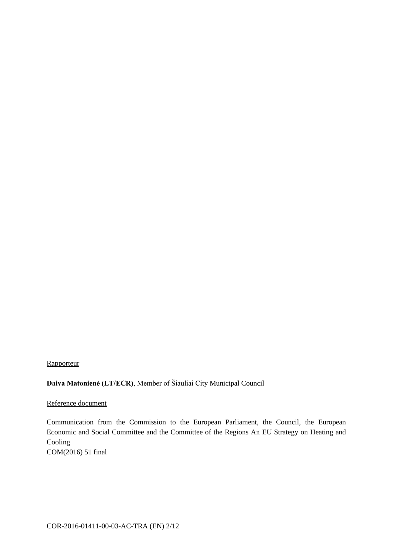**Rapporteur** 

**Daiva Matonienė (LT/ECR)**, Member of Šiauliai City Municipal Council

Reference document

Communication from the Commission to the European Parliament, the Council, the European Economic and Social Committee and the Committee of the Regions An EU Strategy on Heating and Cooling COM(2016) 51 final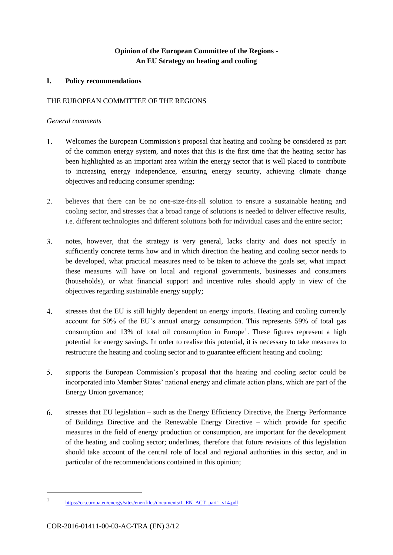# **Opinion of the European Committee of the Regions - An EU Strategy on heating and cooling**

#### **I. Policy recommendations**

#### THE EUROPEAN COMMITTEE OF THE REGIONS

#### *General comments*

- $1.$ Welcomes the European Commission's proposal that heating and cooling be considered as part of the common energy system, and notes that this is the first time that the heating sector has been highlighted as an important area within the energy sector that is well placed to contribute to increasing energy independence, ensuring energy security, achieving climate change objectives and reducing consumer spending;
- $2<sup>1</sup>$ believes that there can be no one-size-fits-all solution to ensure a sustainable heating and cooling sector, and stresses that a broad range of solutions is needed to deliver effective results, i.e. different technologies and different solutions both for individual cases and the entire sector;
- $3.$ notes, however, that the strategy is very general, lacks clarity and does not specify in sufficiently concrete terms how and in which direction the heating and cooling sector needs to be developed, what practical measures need to be taken to achieve the goals set, what impact these measures will have on local and regional governments, businesses and consumers (households), or what financial support and incentive rules should apply in view of the objectives regarding sustainable energy supply;
- stresses that the EU is still highly dependent on energy imports. Heating and cooling currently  $\overline{4}$ . account for 50% of the EU's annual energy consumption. This represents 59% of total gas consumption and 13% of total oil consumption in Europe<sup>1</sup>. These figures represent a high potential for energy savings. In order to realise this potential, it is necessary to take measures to restructure the heating and cooling sector and to guarantee efficient heating and cooling;
- $5<sub>1</sub>$ supports the European Commission's proposal that the heating and cooling sector could be incorporated into Member States' national energy and climate action plans, which are part of the Energy Union governance;
- 6. stresses that EU legislation – such as the Energy Efficiency Directive, the Energy Performance of Buildings Directive and the Renewable Energy Directive – which provide for specific measures in the field of energy production or consumption, are important for the development of the heating and cooling sector; underlines, therefore that future revisions of this legislation should take account of the central role of local and regional authorities in this sector, and in particular of the recommendations contained in this opinion;

<sup>1</sup> [https://ec.europa.eu/energy/sites/ener/files/documents/1\\_EN\\_ACT\\_part1\\_v14.pdf](https://ec.europa.eu/energy/sites/ener/files/documents/1_EN_ACT_part1_v14.pdf)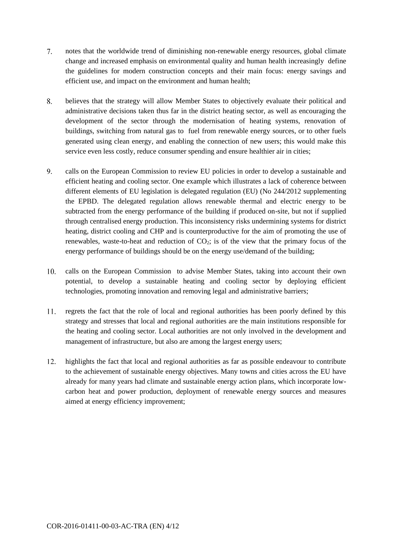- $7.$ notes that the worldwide trend of diminishing non-renewable energy resources, global climate change and increased emphasis on environmental quality and human health increasingly define the guidelines for modern construction concepts and their main focus: energy savings and efficient use, and impact on the environment and human health;
- 8. believes that the strategy will allow Member States to objectively evaluate their political and administrative decisions taken thus far in the district heating sector, as well as encouraging the development of the sector through the modernisation of heating systems, renovation of buildings, switching from natural gas to fuel from renewable energy sources, or to other fuels generated using clean energy, and enabling the connection of new users; this would make this service even less costly, reduce consumer spending and ensure healthier air in cities;
- $9<sub>1</sub>$ calls on the European Commission to review EU policies in order to develop a sustainable and efficient heating and cooling sector. One example which illustrates a lack of coherence between different elements of EU legislation is delegated regulation (EU) (No 244/2012 supplementing the EPBD. The delegated regulation allows renewable thermal and electric energy to be subtracted from the energy performance of the building if produced on-site, but not if supplied through centralised energy production. This inconsistency risks undermining systems for district heating, district cooling and CHP and is counterproductive for the aim of promoting the use of renewables, waste-to-heat and reduction of  $CO<sub>2</sub>$ ; is of the view that the primary focus of the energy performance of buildings should be on the energy use/demand of the building;
- $10.$ calls on the European Commission to advise Member States, taking into account their own potential, to develop a sustainable heating and cooling sector by deploying efficient technologies, promoting innovation and removing legal and administrative barriers;
- $11.$ regrets the fact that the role of local and regional authorities has been poorly defined by this strategy and stresses that local and regional authorities are the main institutions responsible for the heating and cooling sector. Local authorities are not only involved in the development and management of infrastructure, but also are among the largest energy users;
- $12.$ highlights the fact that local and regional authorities as far as possible endeavour to contribute to the achievement of sustainable energy objectives. Many towns and cities across the EU have already for many years had climate and sustainable energy action plans, which incorporate lowcarbon heat and power production, deployment of renewable energy sources and measures aimed at energy efficiency improvement;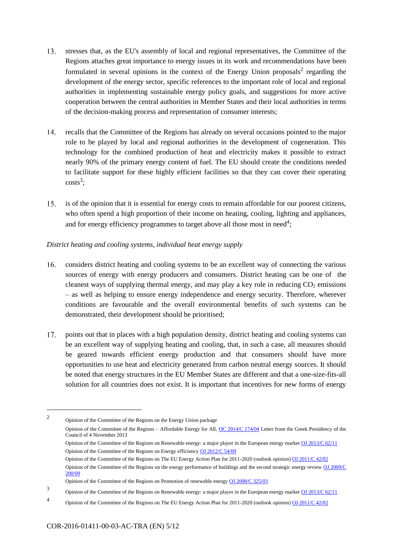- 13. stresses that, as the EU's assembly of local and regional representatives, the Committee of the Regions attaches great importance to energy issues in its work and recommendations have been formulated in several opinions in the context of the Energy Union proposals<sup>2</sup> regarding the development of the energy sector, specific references to the important role of local and regional authorities in implementing sustainable energy policy goals, and suggestions for more active cooperation between the central authorities in Member States and their local authorities in terms of the decision-making process and representation of consumer interests;
- 14. recalls that the Committee of the Regions has already on several occasions pointed to the major role to be played by local and regional authorities in the development of cogeneration. This technology for the combined production of heat and electricity makes it possible to extract nearly 90% of the primary energy content of fuel. The EU should create the conditions needed to facilitate support for these highly efficient facilities so that they can cover their operating  $costs^3$ ;
- $15.$ is of the opinion that it is essential for energy costs to remain affordable for our poorest citizens, who often spend a high proportion of their income on heating, cooling, lighting and appliances, and for energy efficiency programmes to target above all those most in need<sup>4</sup>;

## *District heating and cooling systems, individual heat energy supply*

- $16.$ considers district heating and cooling systems to be an excellent way of connecting the various sources of energy with energy producers and consumers. District heating can be one of the cleanest ways of supplying thermal energy, and may play a key role in reducing  $CO<sub>2</sub>$  emissions – as well as helping to ensure energy independence and energy security. Therefore, wherever conditions are favourable and the overall environmental benefits of such systems can be demonstrated, their development should be prioritised;
- points out that in places with a high population density, district heating and cooling systems can 17. be an excellent way of supplying heating and cooling, that, in such a case, all measures should be geared towards efficient energy production and that consumers should have more opportunities to use heat and electricity generated from carbon neutral energy sources. It should be noted that energy structures in the EU Member States are different and that a one-size-fits-all solution for all countries does not exist. It is important that incentives for new forms of energy

2

Opinion of the Committee of the Regions on the Energy Union package

Opinion of the Committee of the Regions – Affordable Energy for All[, OC 2014/C 174/04](http://eur-lex.europa.eu/LexUriServ/LexUriServ.do?uri=OJ:C:2014:174:SOM:EN:HTML) Letter from the Greek Presidency of the Council of 4 November 2013

Opinion of the Committee of the Regions on Renewable energy: a major player in the European energy marke[t OJ 2013/C 62/11](http://eur-lex.europa.eu/LexUriServ/LexUriServ.do?uri=OJ:C:2013:062:SOM:EN:HTML) Opinion of the Committee of the Regions on Energy efficienc[y OJ 2012/C 54/09](http://eur-lex.europa.eu/LexUriServ/LexUriServ.do?uri=OJ:C:2012:054:SOM:EN:HTML)

Opinion of the Committee of the Regions on The EU Energy Action Plan for 2011-2020 (outlook opinion[\) OJ 2011/C 42/02](http://eur-lex.europa.eu/LexUriServ/LexUriServ.do?uri=OJ:C:2011:042:SOM:EN:HTML)

Opinion of the Committee of the Regions on the energy performance of buildings and the second strategic energy review OJ [2009/C](http://eur-lex.europa.eu/LexUriServ/LexUriServ.do?uri=OJ:C:2009:200:SOM:EN:HTML)  [200/09](http://eur-lex.europa.eu/LexUriServ/LexUriServ.do?uri=OJ:C:2009:200:SOM:EN:HTML)

Opinion of the Committee of the Regions on Promotion of renewable energy [OJ 2008/C 325/03](http://eur-lex.europa.eu/LexUriServ/LexUriServ.do?uri=OJ:C:2008:325:SOM:EN:HTML)

<sup>3</sup> Opinion of the Committee of the Regions on Renewable energy: a major player in the European energy marke[t OJ 2013/C 62/11](http://eur-lex.europa.eu/LexUriServ/LexUriServ.do?uri=OJ:C:2013:062:SOM:EN:HTML)

<sup>4</sup> Opinion of the Committee of the Regions on The EU Energy Action Plan for 2011-2020 (outlook opinion[\) OJ 2011/C 42/02](http://eur-lex.europa.eu/LexUriServ/LexUriServ.do?uri=OJ:C:2011:042:SOM:EN:HTML)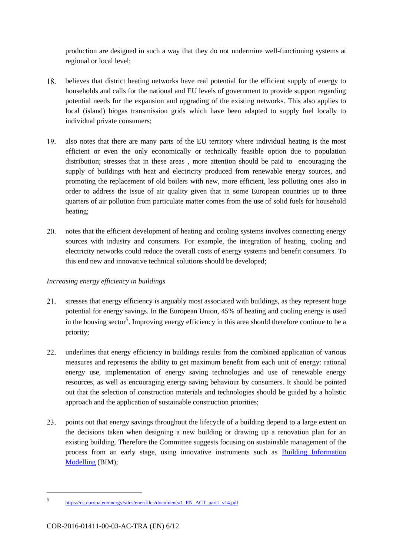production are designed in such a way that they do not undermine well-functioning systems at regional or local level;

- 18. believes that district heating networks have real potential for the efficient supply of energy to households and calls for the national and EU levels of government to provide support regarding potential needs for the expansion and upgrading of the existing networks. This also applies to local (island) biogas transmission grids which have been adapted to supply fuel locally to individual private consumers;
- 19. also notes that there are many parts of the EU territory where individual heating is the most efficient or even the only economically or technically feasible option due to population distribution; stresses that in these areas , more attention should be paid to encouraging the supply of buildings with heat and electricity produced from renewable energy sources, and promoting the replacement of old boilers with new, more efficient, less polluting ones also in order to address the issue of air quality given that in some European countries up to three quarters of air pollution from particulate matter comes from the use of solid fuels for household heating;
- 20. notes that the efficient development of heating and cooling systems involves connecting energy sources with industry and consumers. For example, the integration of heating, cooling and electricity networks could reduce the overall costs of energy systems and benefit consumers. To this end new and innovative technical solutions should be developed;

### *Increasing energy efficiency in buildings*

- 21. stresses that energy efficiency is arguably most associated with buildings, as they represent huge potential for energy savings. In the European Union, 45% of heating and cooling energy is used in the housing sector<sup>5</sup>. Improving energy efficiency in this area should therefore continue to be a priority;
- $22.$ underlines that energy efficiency in buildings results from the combined application of various measures and represents the ability to get maximum benefit from each unit of energy: rational energy use, implementation of energy saving technologies and use of renewable energy resources, as well as encouraging energy saving behaviour by consumers. It should be pointed out that the selection of construction materials and technologies should be guided by a holistic approach and the application of sustainable construction priorities;
- 23. points out that energy savings throughout the lifecycle of a building depend to a large extent on the decisions taken when designing a new building or drawing up a renovation plan for an existing building. Therefore the Committee suggests focusing on sustainable management of the process from an early stage, using innovative instruments such as [Building Information](https://en.wikipedia.org/wiki/Building_information_modeling)  [Modelling](https://en.wikipedia.org/wiki/Building_information_modeling) (BIM);

<sup>5</sup> [https://ec.europa.eu/energy/sites/ener/files/documents/1\\_EN\\_ACT\\_part1\\_v14.pdf](https://ec.europa.eu/energy/sites/ener/files/documents/1_EN_ACT_part1_v14.pdf)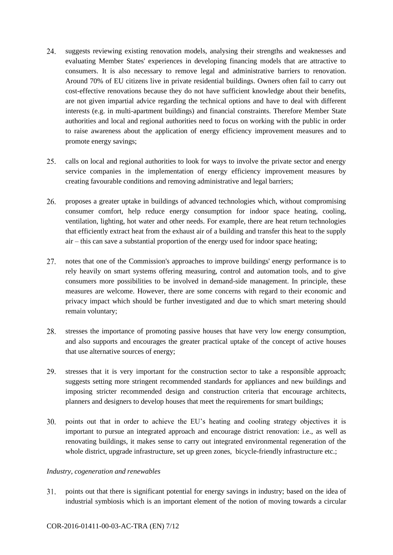- 24. suggests reviewing existing renovation models, analysing their strengths and weaknesses and evaluating Member States' experiences in developing financing models that are attractive to consumers. It is also necessary to remove legal and administrative barriers to renovation. Around 70% of EU citizens live in private residential buildings. Owners often fail to carry out cost-effective renovations because they do not have sufficient knowledge about their benefits, are not given impartial advice regarding the technical options and have to deal with different interests (e.g. in multi-apartment buildings) and financial constraints. Therefore Member State authorities and local and regional authorities need to focus on working with the public in order to raise awareness about the application of energy efficiency improvement measures and to promote energy savings;
- $25.$ calls on local and regional authorities to look for ways to involve the private sector and energy service companies in the implementation of energy efficiency improvement measures by creating favourable conditions and removing administrative and legal barriers;
- 26. proposes a greater uptake in buildings of advanced technologies which, without compromising consumer comfort, help reduce energy consumption for indoor space heating, cooling, ventilation, lighting, hot water and other needs. For example, there are heat return technologies that efficiently extract heat from the exhaust air of a building and transfer this heat to the supply air – this can save a substantial proportion of the energy used for indoor space heating;
- notes that one of the Commission's approaches to improve buildings' energy performance is to rely heavily on smart systems offering measuring, control and automation tools, and to give consumers more possibilities to be involved in demand-side management. In principle, these measures are welcome. However, there are some concerns with regard to their economic and privacy impact which should be further investigated and due to which smart metering should remain voluntary;
- 28. stresses the importance of promoting passive houses that have very low energy consumption, and also supports and encourages the greater practical uptake of the concept of active houses that use alternative sources of energy;
- 29. stresses that it is very important for the construction sector to take a responsible approach; suggests setting more stringent recommended standards for appliances and new buildings and imposing stricter recommended design and construction criteria that encourage architects, planners and designers to develop houses that meet the requirements for smart buildings;
- $30.$ points out that in order to achieve the EU's heating and cooling strategy objectives it is important to pursue an integrated approach and encourage district renovation: i.e., as well as renovating buildings, it makes sense to carry out integrated environmental regeneration of the whole district, upgrade infrastructure, set up green zones, bicycle-friendly infrastructure etc.;

#### *Industry, cogeneration and renewables*

points out that there is significant potential for energy savings in industry; based on the idea of  $31.$ industrial symbiosis which is an important element of the notion of moving towards a circular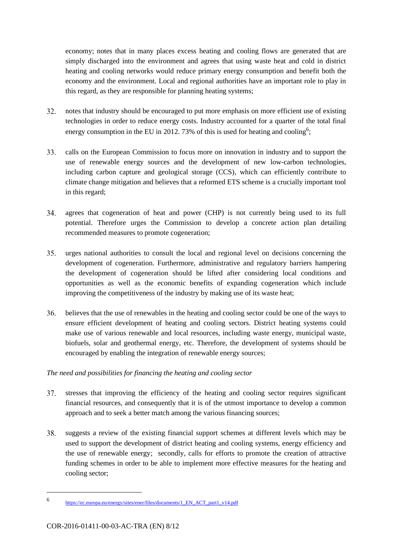economy; notes that in many places excess heating and cooling flows are generated that are simply discharged into the environment and agrees that using waste heat and cold in district heating and cooling networks would reduce primary energy consumption and benefit both the economy and the environment. Local and regional authorities have an important role to play in this regard, as they are responsible for planning heating systems;

- 32. notes that industry should be encouraged to put more emphasis on more efficient use of existing technologies in order to reduce energy costs. Industry accounted for a quarter of the total final energy consumption in the EU in 2012. 73% of this is used for heating and cooling<sup>6</sup>;
- calls on the European Commission to focus more on innovation in industry and to support the use of renewable energy sources and the development of new low-carbon technologies, including carbon capture and geological storage (CCS), which can efficiently contribute to climate change mitigation and believes that a reformed ETS scheme is a crucially important tool in this regard;
- 34. agrees that cogeneration of heat and power (CHP) is not currently being used to its full potential. Therefore urges the Commission to develop a concrete action plan detailing recommended measures to promote cogeneration;
- $35.$ urges national authorities to consult the local and regional level on decisions concerning the development of cogeneration. Furthermore, administrative and regulatory barriers hampering the development of cogeneration should be lifted after considering local conditions and opportunities as well as the economic benefits of expanding cogeneration which include improving the competitiveness of the industry by making use of its waste heat;
- $36.$ believes that the use of renewables in the heating and cooling sector could be one of the ways to ensure efficient development of heating and cooling sectors. District heating systems could make use of various renewable and local resources, including waste energy, municipal waste, biofuels, solar and geothermal energy, etc. Therefore, the development of systems should be encouraged by enabling the integration of renewable energy sources;

### *The need and possibilities for financing the heating and cooling sector*

- 37. stresses that improving the efficiency of the heating and cooling sector requires significant financial resources, and consequently that it is of the utmost importance to develop a common approach and to seek a better match among the various financing sources;
- suggests a review of the existing financial support schemes at different levels which may be used to support the development of district heating and cooling systems, energy efficiency and the use of renewable energy; secondly, calls for efforts to promote the creation of attractive funding schemes in order to be able to implement more effective measures for the heating and cooling sector;

<sup>6</sup> [https://ec.europa.eu/energy/sites/ener/files/documents/1\\_EN\\_ACT\\_part1\\_v14.pdf](https://ec.europa.eu/energy/sites/ener/files/documents/1_EN_ACT_part1_v14.pdf)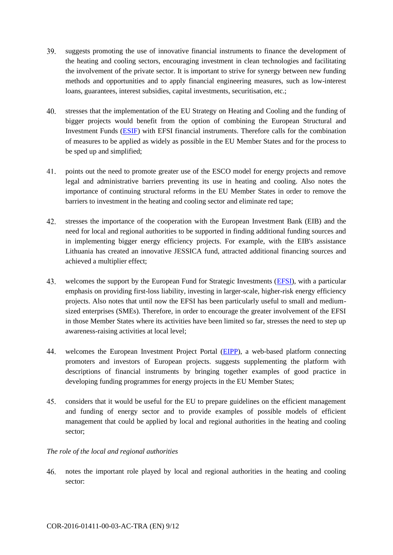- 39. suggests promoting the use of innovative financial instruments to finance the development of the heating and cooling sectors, encouraging investment in clean technologies and facilitating the involvement of the private sector. It is important to strive for synergy between new funding methods and opportunities and to apply financial engineering measures, such as low-interest loans, guarantees, interest subsidies, capital investments, securitisation, etc.;
- 40. stresses that the implementation of the EU Strategy on Heating and Cooling and the funding of bigger projects would benefit from the option of combining the European Structural and Investment Funds [\(ESIF\)](http://ec.europa.eu/contracts_grants/funds_lt.htm) with EFSI financial instruments. Therefore calls for the combination of measures to be applied as widely as possible in the EU Member States and for the process to be sped up and simplified;
- 41. points out the need to promote greater use of the ESCO model for energy projects and remove legal and administrative barriers preventing its use in heating and cooling. Also notes the importance of continuing structural reforms in the EU Member States in order to remove the barriers to investment in the heating and cooling sector and eliminate red tape;
- 42. stresses the importance of the cooperation with the European Investment Bank (EIB) and the need for local and regional authorities to be supported in finding additional funding sources and in implementing bigger energy efficiency projects. For example, with the EIB's assistance Lithuania has created an innovative JESSICA fund, attracted additional financing sources and achieved a multiplier effect;
- 43. welcomes the support by the European Fund for Strategic Investments [\(EFSI\)](http://www.eib.org/efsi/index.htm), with a particular emphasis on providing first-loss liability, investing in larger-scale, higher-risk energy efficiency projects. Also notes that until now the EFSI has been particularly useful to small and mediumsized enterprises (SMEs). Therefore, in order to encourage the greater involvement of the EFSI in those Member States where its activities have been limited so far, stresses the need to step up awareness-raising activities at local level;
- 44. welcomes the European Investment Project Portal [\(EIPP\)](https://ec.europa.eu/priorities/european-investment-project-portal-eipp_en), a web-based platform connecting promoters and investors of European projects. suggests supplementing the platform with descriptions of financial instruments by bringing together examples of good practice in developing funding programmes for energy projects in the EU Member States;
- considers that it would be useful for the EU to prepare guidelines on the efficient management and funding of energy sector and to provide examples of possible models of efficient management that could be applied by local and regional authorities in the heating and cooling sector;

### *The role of the local and regional authorities*

notes the important role played by local and regional authorities in the heating and cooling 46. sector: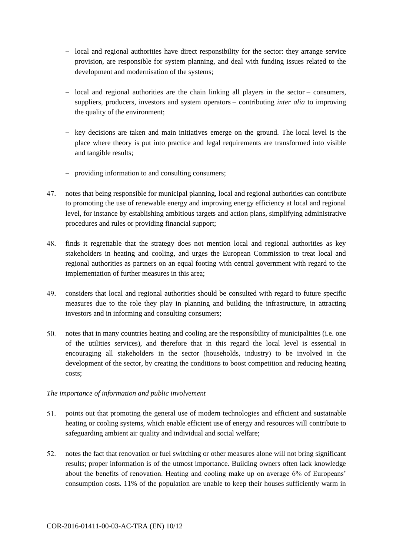- − local and regional authorities have direct responsibility for the sector: they arrange service provision, are responsible for system planning, and deal with funding issues related to the development and modernisation of the systems;
- − local and regional authorities are the chain linking all players in the sector consumers, suppliers, producers, investors and system operators – contributing *inter alia* to improving the quality of the environment;
- − key decisions are taken and main initiatives emerge on the ground. The local level is the place where theory is put into practice and legal requirements are transformed into visible and tangible results;
- − providing information to and consulting consumers;
- 47. notes that being responsible for municipal planning, local and regional authorities can contribute to promoting the use of renewable energy and improving energy efficiency at local and regional level, for instance by establishing ambitious targets and action plans, simplifying administrative procedures and rules or providing financial support;
- 48. finds it regrettable that the strategy does not mention local and regional authorities as key stakeholders in heating and cooling, and urges the European Commission to treat local and regional authorities as partners on an equal footing with central government with regard to the implementation of further measures in this area;
- 49. considers that local and regional authorities should be consulted with regard to future specific measures due to the role they play in planning and building the infrastructure, in attracting investors and in informing and consulting consumers;
- $50<sub>1</sub>$ notes that in many countries heating and cooling are the responsibility of municipalities (i.e. one of the utilities services), and therefore that in this regard the local level is essential in encouraging all stakeholders in the sector (households, industry) to be involved in the development of the sector, by creating the conditions to boost competition and reducing heating costs;

### *The importance of information and public involvement*

- $51.$ points out that promoting the general use of modern technologies and efficient and sustainable heating or cooling systems, which enable efficient use of energy and resources will contribute to safeguarding ambient air quality and individual and social welfare;
- 52. notes the fact that renovation or fuel switching or other measures alone will not bring significant results; proper information is of the utmost importance. Building owners often lack knowledge about the benefits of renovation. Heating and cooling make up on average 6% of Europeans' consumption costs. 11% of the population are unable to keep their houses sufficiently warm in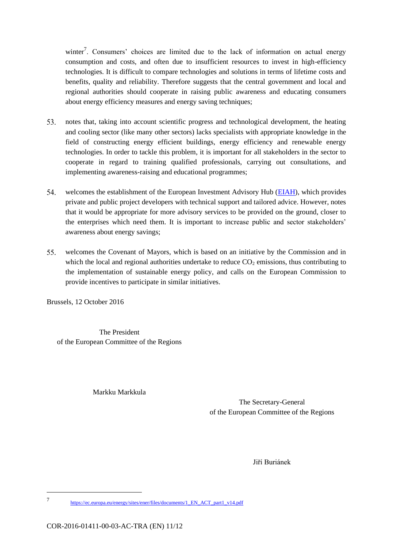winter<sup>7</sup>. Consumers' choices are limited due to the lack of information on actual energy consumption and costs, and often due to insufficient resources to invest in high-efficiency technologies. It is difficult to compare technologies and solutions in terms of lifetime costs and benefits, quality and reliability. Therefore suggests that the central government and local and regional authorities should cooperate in raising public awareness and educating consumers about energy efficiency measures and energy saving techniques;

- notes that, taking into account scientific progress and technological development, the heating and cooling sector (like many other sectors) lacks specialists with appropriate knowledge in the field of constructing energy efficient buildings, energy efficiency and renewable energy technologies. In order to tackle this problem, it is important for all stakeholders in the sector to cooperate in regard to training qualified professionals, carrying out consultations, and implementing awareness-raising and educational programmes;
- 54. welcomes the establishment of the European Investment Advisory Hub [\(EIAH\)](http://www.eib.org/eiah/index.htm), which provides private and public project developers with technical support and tailored advice. However, notes that it would be appropriate for more advisory services to be provided on the ground, closer to the enterprises which need them. It is important to increase public and sector stakeholders' awareness about energy savings;
- $55.$ welcomes the Covenant of Mayors, which is based on an initiative by the Commission and in which the local and regional authorities undertake to reduce  $CO<sub>2</sub>$  emissions, thus contributing to the implementation of sustainable energy policy, and calls on the European Commission to provide incentives to participate in similar initiatives.

Brussels, 12 October 2016

The President of the European Committee of the Regions

Markku Markkula

The Secretary-General of the European Committee of the Regions

Jiří Buriánek

7

[https://ec.europa.eu/energy/sites/ener/files/documents/1\\_EN\\_ACT\\_part1\\_v14.pdf](https://ec.europa.eu/energy/sites/ener/files/documents/1_EN_ACT_part1_v14.pdf)